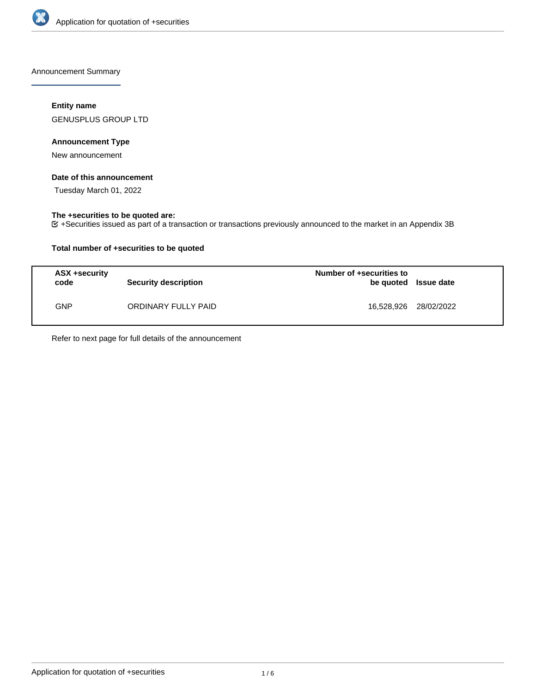

Announcement Summary

## **Entity name**

GENUSPLUS GROUP LTD

### **Announcement Type**

New announcement

## **Date of this announcement**

Tuesday March 01, 2022

## **The +securities to be quoted are:**

+Securities issued as part of a transaction or transactions previously announced to the market in an Appendix 3B

## **Total number of +securities to be quoted**

| <b>ASX +security</b><br>code | <b>Security description</b> | Number of +securities to<br>be quoted Issue date |  |
|------------------------------|-----------------------------|--------------------------------------------------|--|
| GNP.                         | ORDINARY FULLY PAID         | 16,528,926 28/02/2022                            |  |

Refer to next page for full details of the announcement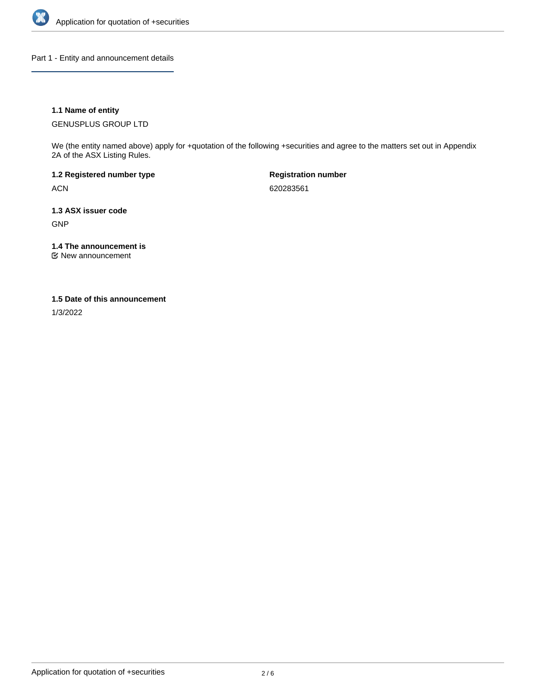

Part 1 - Entity and announcement details

## **1.1 Name of entity**

GENUSPLUS GROUP LTD

We (the entity named above) apply for +quotation of the following +securities and agree to the matters set out in Appendix 2A of the ASX Listing Rules.

**1.2 Registered number type** ACN

**Registration number** 620283561

**1.3 ASX issuer code** GNP

**1.4 The announcement is**

New announcement

#### **1.5 Date of this announcement**

1/3/2022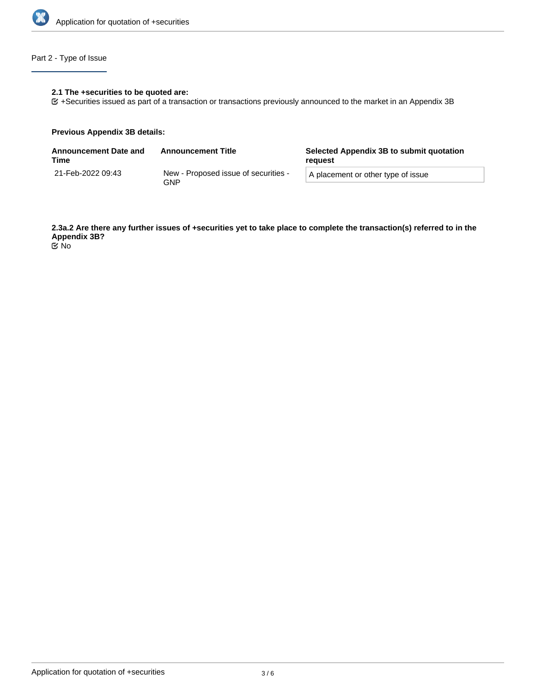

# Part 2 - Type of Issue

## **2.1 The +securities to be quoted are:**

+Securities issued as part of a transaction or transactions previously announced to the market in an Appendix 3B

#### **Previous Appendix 3B details:**

| <b>Announcement Date and</b><br>Time | <b>Announcement Title</b>                   | Selected Appendix 3B to submit quotation<br>reguest |  |
|--------------------------------------|---------------------------------------------|-----------------------------------------------------|--|
| 21-Feb-2022 09:43                    | New - Proposed issue of securities -<br>GNP | A placement or other type of issue                  |  |

**2.3a.2 Are there any further issues of +securities yet to take place to complete the transaction(s) referred to in the Appendix 3B?** No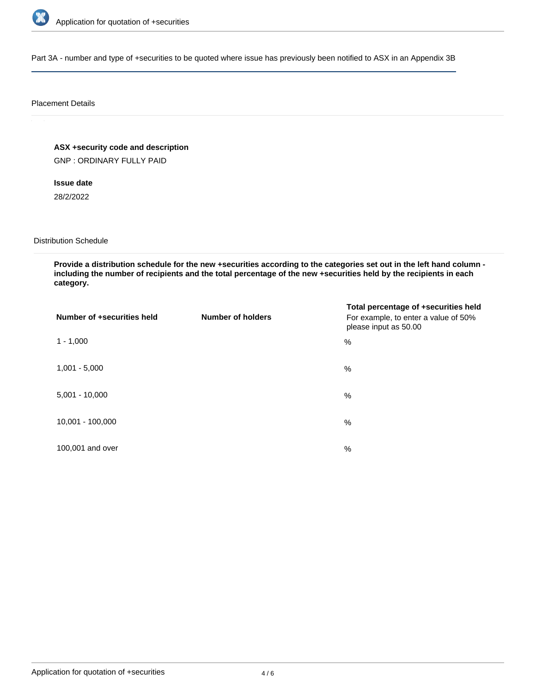

Part 3A - number and type of +securities to be quoted where issue has previously been notified to ASX in an Appendix 3B

#### Placement Details

**ASX +security code and description**

GNP : ORDINARY FULLY PAID

**Issue date** 28/2/2022

Distribution Schedule

**Provide a distribution schedule for the new +securities according to the categories set out in the left hand column including the number of recipients and the total percentage of the new +securities held by the recipients in each category.**

| Number of +securities held | <b>Number of holders</b> | Total percentage of +securities held<br>For example, to enter a value of 50%<br>please input as 50.00 |
|----------------------------|--------------------------|-------------------------------------------------------------------------------------------------------|
| $1 - 1,000$                |                          | $\%$                                                                                                  |
| $1,001 - 5,000$            |                          | $\%$                                                                                                  |
| $5,001 - 10,000$           |                          | %                                                                                                     |
| 10,001 - 100,000           |                          | %                                                                                                     |
| 100,001 and over           |                          | $\%$                                                                                                  |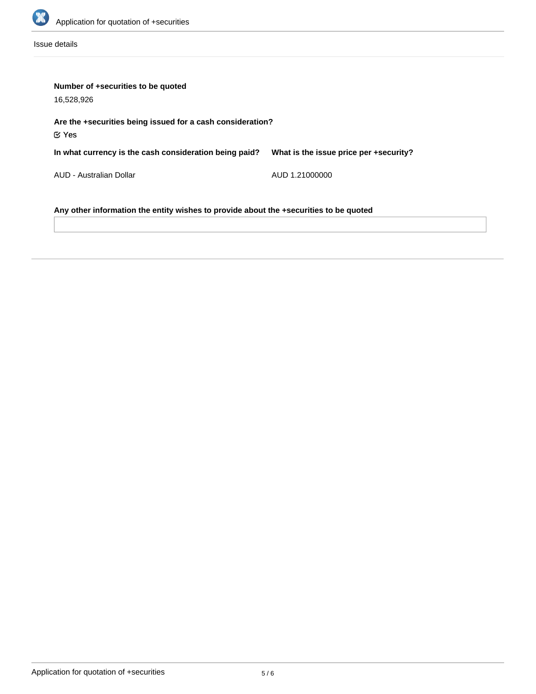

Issue details

| Number of +securities to be quoted<br>16,528,926                                      |                                        |  |  |  |
|---------------------------------------------------------------------------------------|----------------------------------------|--|--|--|
| Are the +securities being issued for a cash consideration?<br>$\mathfrak C$ Yes       |                                        |  |  |  |
| In what currency is the cash consideration being paid?                                | What is the issue price per +security? |  |  |  |
| AUD - Australian Dollar                                                               | AUD 1.21000000                         |  |  |  |
| Any other information the entity wishes to provide about the +securities to be quoted |                                        |  |  |  |